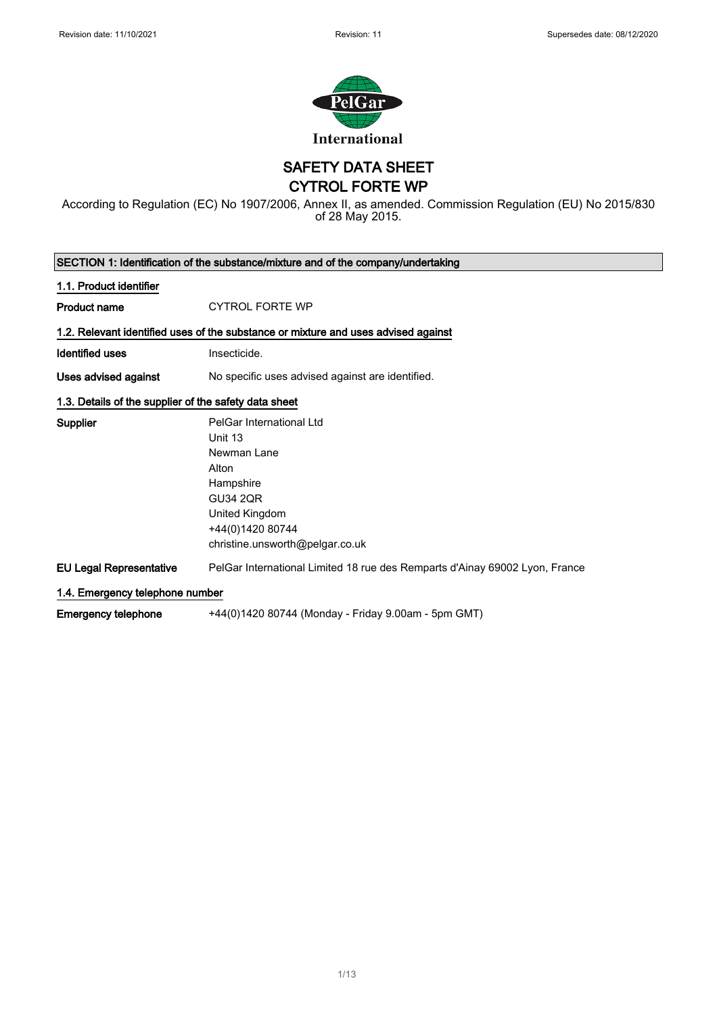

SAFETY DATA SHEET

CYTROL FORTE WP

According to Regulation (EC) No 1907/2006, Annex II, as amended. Commission Regulation (EU) No 2015/830 of 28 May 2015.

| SECTION 1: Identification of the substance/mixture and of the company/undertaking |                                                                                    |  |
|-----------------------------------------------------------------------------------|------------------------------------------------------------------------------------|--|
| 1.1. Product identifier                                                           |                                                                                    |  |
| <b>Product name</b>                                                               | <b>CYTROL FORTE WP</b>                                                             |  |
|                                                                                   | 1.2. Relevant identified uses of the substance or mixture and uses advised against |  |
| Identified uses                                                                   | Insecticide.                                                                       |  |
| Uses advised against                                                              | No specific uses advised against are identified.                                   |  |
| 1.3. Details of the supplier of the safety data sheet                             |                                                                                    |  |
| Supplier                                                                          | PelGar International Ltd                                                           |  |
|                                                                                   | Unit 13                                                                            |  |
|                                                                                   | Newman Lane                                                                        |  |
|                                                                                   | Alton                                                                              |  |
|                                                                                   | Hampshire                                                                          |  |
|                                                                                   | <b>GU34 2QR</b>                                                                    |  |
|                                                                                   | United Kingdom                                                                     |  |
|                                                                                   | +44(0)1420 80744                                                                   |  |
|                                                                                   | christine.unsworth@pelgar.co.uk                                                    |  |
| <b>EU Legal Representative</b>                                                    | PelGar International Limited 18 rue des Remparts d'Ainay 69002 Lyon, France        |  |
| 1.4. Emergency telephone number                                                   |                                                                                    |  |
| <b>Emergency telephone</b>                                                        | +44(0)1420 80744 (Monday - Friday 9.00am - 5pm GMT)                                |  |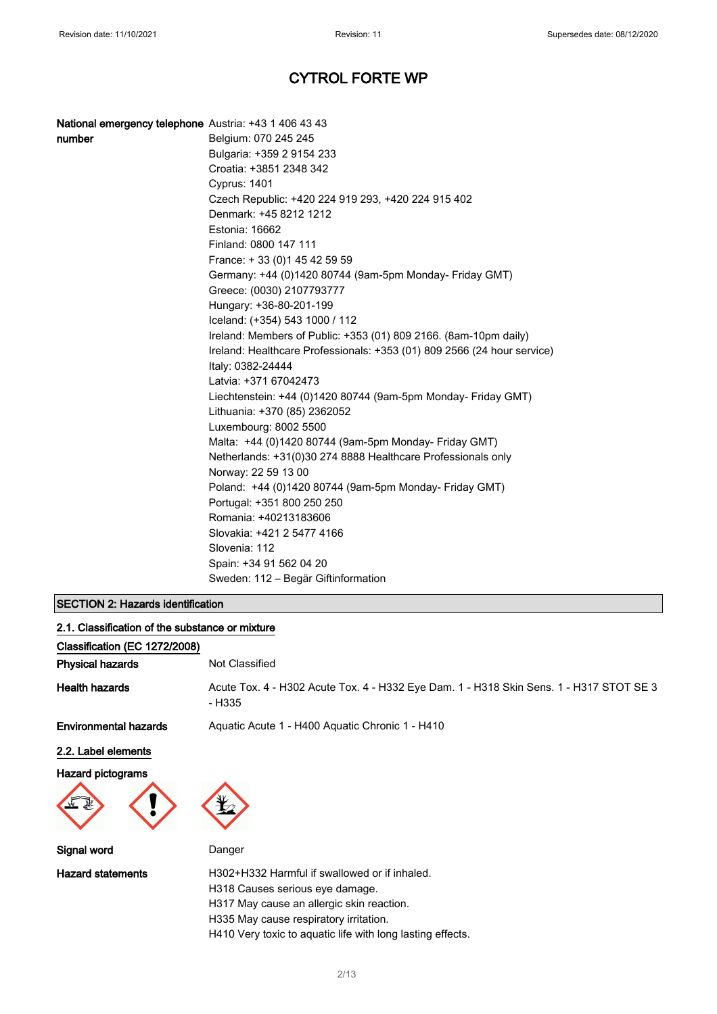### National emergency telephone Austria: +43 1 406 43 43

| number | Belgium: 070 245 245                                                    |
|--------|-------------------------------------------------------------------------|
|        | Bulgaria: +359 2 9154 233                                               |
|        | Croatia: +3851 2348 342                                                 |
|        | <b>Cyprus: 1401</b>                                                     |
|        | Czech Republic: +420 224 919 293, +420 224 915 402                      |
|        | Denmark: +45 8212 1212                                                  |
|        | Estonia: 16662                                                          |
|        | Finland: 0800 147 111                                                   |
|        | France: +33 (0) 145 42 59 59                                            |
|        | Germany: +44 (0)1420 80744 (9am-5pm Monday- Friday GMT)                 |
|        | Greece: (0030) 2107793777                                               |
|        | Hungary: +36-80-201-199                                                 |
|        | Iceland: (+354) 543 1000 / 112                                          |
|        | Ireland: Members of Public: +353 (01) 809 2166. (8am-10pm daily)        |
|        | Ireland: Healthcare Professionals: +353 (01) 809 2566 (24 hour service) |
|        | Italy: 0382-24444                                                       |
|        | Latvia: +371 67042473                                                   |
|        | Liechtenstein: +44 (0)1420 80744 (9am-5pm Monday- Friday GMT)           |
|        | Lithuania: +370 (85) 2362052                                            |
|        | Luxembourg: 8002 5500                                                   |
|        | Malta: +44 (0)1420 80744 (9am-5pm Monday- Friday GMT)                   |
|        | Netherlands: +31(0)30 274 8888 Healthcare Professionals only            |
|        | Norway: 22 59 13 00                                                     |
|        | Poland: +44 (0)1420 80744 (9am-5pm Monday- Friday GMT)                  |
|        | Portugal: +351 800 250 250                                              |
|        | Romania: +40213183606                                                   |
|        | Slovakia: +421 2 5477 4166                                              |
|        | Slovenia: 112                                                           |
|        | Spain: +34 91 562 04 20                                                 |
|        | Sweden: 112 - Begär Giftinformation                                     |

## SECTION 2: Hazards identification

| 2.1. Classification of the substance or mixture |                                                                                                                                                                                                                                       |
|-------------------------------------------------|---------------------------------------------------------------------------------------------------------------------------------------------------------------------------------------------------------------------------------------|
| Classification (EC 1272/2008)                   |                                                                                                                                                                                                                                       |
| <b>Physical hazards</b>                         | Not Classified                                                                                                                                                                                                                        |
| <b>Health hazards</b>                           | Acute Tox. 4 - H302 Acute Tox. 4 - H332 Eye Dam. 1 - H318 Skin Sens. 1 - H317 STOT SE 3<br>- H335                                                                                                                                     |
| <b>Environmental hazards</b>                    | Aquatic Acute 1 - H400 Aquatic Chronic 1 - H410                                                                                                                                                                                       |
| 2.2. Label elements                             |                                                                                                                                                                                                                                       |
| Hazard pictograms<br>飞                          |                                                                                                                                                                                                                                       |
| Signal word                                     | Danger                                                                                                                                                                                                                                |
| <b>Hazard statements</b>                        | H302+H332 Harmful if swallowed or if inhaled.<br>H318 Causes serious eye damage.<br>H317 May cause an allergic skin reaction.<br>H335 May cause respiratory irritation.<br>H410 Very toxic to aquatic life with long lasting effects. |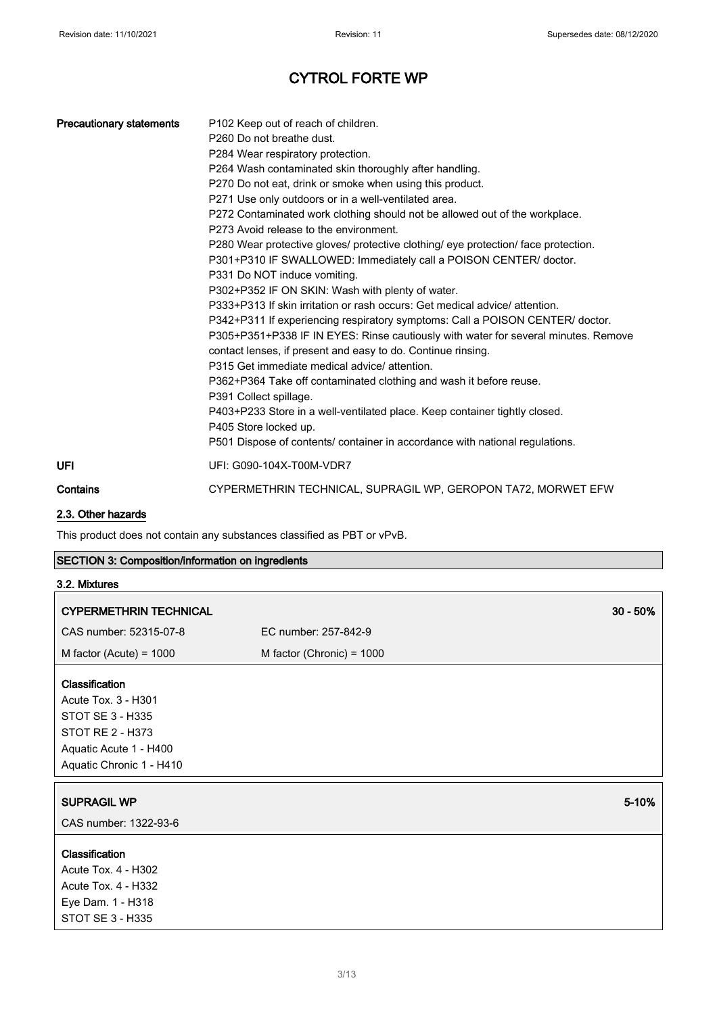| <b>Precautionary statements</b> | P <sub>102</sub> Keep out of reach of children.<br>P <sub>260</sub> Do not breathe dust.<br>P284 Wear respiratory protection.<br>P264 Wash contaminated skin thoroughly after handling.<br>P270 Do not eat, drink or smoke when using this product.<br>P271 Use only outdoors or in a well-ventilated area.<br>P272 Contaminated work clothing should not be allowed out of the workplace.<br>P273 Avoid release to the environment.<br>P280 Wear protective gloves/ protective clothing/ eye protection/ face protection.<br>P301+P310 IF SWALLOWED: Immediately call a POISON CENTER/ doctor.<br>P331 Do NOT induce vomiting.<br>P302+P352 IF ON SKIN: Wash with plenty of water.<br>P333+P313 If skin irritation or rash occurs: Get medical advice/attention.<br>P342+P311 If experiencing respiratory symptoms: Call a POISON CENTER/ doctor.<br>P305+P351+P338 IF IN EYES: Rinse cautiously with water for several minutes. Remove<br>contact lenses, if present and easy to do. Continue rinsing.<br>P315 Get immediate medical advice/attention.<br>P362+P364 Take off contaminated clothing and wash it before reuse.<br>P391 Collect spillage.<br>P403+P233 Store in a well-ventilated place. Keep container tightly closed.<br>P405 Store locked up.<br>P501 Dispose of contents/ container in accordance with national regulations. |
|---------------------------------|-------------------------------------------------------------------------------------------------------------------------------------------------------------------------------------------------------------------------------------------------------------------------------------------------------------------------------------------------------------------------------------------------------------------------------------------------------------------------------------------------------------------------------------------------------------------------------------------------------------------------------------------------------------------------------------------------------------------------------------------------------------------------------------------------------------------------------------------------------------------------------------------------------------------------------------------------------------------------------------------------------------------------------------------------------------------------------------------------------------------------------------------------------------------------------------------------------------------------------------------------------------------------------------------------------------------------------------------------|
| UFI                             | UFI: G090-104X-T00M-VDR7                                                                                                                                                                                                                                                                                                                                                                                                                                                                                                                                                                                                                                                                                                                                                                                                                                                                                                                                                                                                                                                                                                                                                                                                                                                                                                                        |
| Contains                        | CYPERMETHRIN TECHNICAL, SUPRAGIL WP, GEROPON TA72, MORWET EFW                                                                                                                                                                                                                                                                                                                                                                                                                                                                                                                                                                                                                                                                                                                                                                                                                                                                                                                                                                                                                                                                                                                                                                                                                                                                                   |

## 2.3. Other hazards

This product does not contain any substances classified as PBT or vPvB.

| SECTION 3: Composition/information on ingredients |  |  |  |  |  |
|---------------------------------------------------|--|--|--|--|--|
|---------------------------------------------------|--|--|--|--|--|

| 3.2. Mixtures          |            |
|------------------------|------------|
| CYPERMETHRIN TECHNICAL | $30 - 50%$ |

| CAS number: 52315-07-8                                                                                                                     | EC number: 257-842-9        |
|--------------------------------------------------------------------------------------------------------------------------------------------|-----------------------------|
| M factor (Acute) = $1000$                                                                                                                  | M factor (Chronic) = $1000$ |
| <b>Classification</b><br>Acute Tox. 3 - H301<br>STOT SE 3 - H335<br>STOT RE 2 - H373<br>Aquatic Acute 1 - H400<br>Aquatic Chronic 1 - H410 |                             |
| <b>SUPRAGIL WP</b>                                                                                                                         | 5-10%                       |
| CAS number: 1322-93-6                                                                                                                      |                             |
| <b>Classification</b><br>Acute Tox. 4 - H302<br>Acute Tox. 4 - H332<br>Eye Dam. 1 - H318<br>STOT SE 3 - H335                               |                             |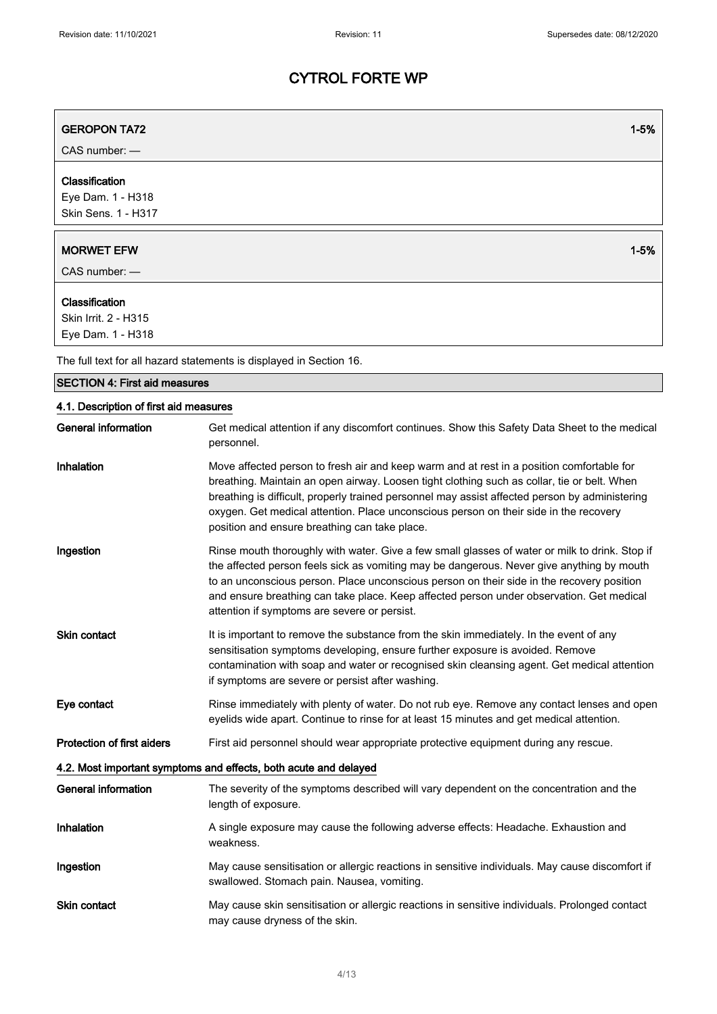| <b>GEROPON TA72</b>                                         | $1 - 5%$                                                                                                                                                                                                                                                                                                                                                                                                                             |
|-------------------------------------------------------------|--------------------------------------------------------------------------------------------------------------------------------------------------------------------------------------------------------------------------------------------------------------------------------------------------------------------------------------------------------------------------------------------------------------------------------------|
| CAS number: -                                               |                                                                                                                                                                                                                                                                                                                                                                                                                                      |
| Classification<br>Eye Dam. 1 - H318<br>Skin Sens. 1 - H317  |                                                                                                                                                                                                                                                                                                                                                                                                                                      |
| <b>MORWET EFW</b>                                           | $1 - 5%$                                                                                                                                                                                                                                                                                                                                                                                                                             |
| CAS number: -                                               |                                                                                                                                                                                                                                                                                                                                                                                                                                      |
| Classification<br>Skin Irrit. 2 - H315<br>Eye Dam. 1 - H318 |                                                                                                                                                                                                                                                                                                                                                                                                                                      |
|                                                             | The full text for all hazard statements is displayed in Section 16.                                                                                                                                                                                                                                                                                                                                                                  |
| <b>SECTION 4: First aid measures</b>                        |                                                                                                                                                                                                                                                                                                                                                                                                                                      |
| 4.1. Description of first aid measures                      |                                                                                                                                                                                                                                                                                                                                                                                                                                      |
| General information                                         | Get medical attention if any discomfort continues. Show this Safety Data Sheet to the medical<br>personnel.                                                                                                                                                                                                                                                                                                                          |
| Inhalation                                                  | Move affected person to fresh air and keep warm and at rest in a position comfortable for<br>breathing. Maintain an open airway. Loosen tight clothing such as collar, tie or belt. When<br>breathing is difficult, properly trained personnel may assist affected person by administering<br>oxygen. Get medical attention. Place unconscious person on their side in the recovery<br>position and ensure breathing can take place. |
| Ingestion                                                   | Rinse mouth thoroughly with water. Give a few small glasses of water or milk to drink. Stop if<br>the affected person feels sick as vomiting may be dangerous. Never give anything by mouth<br>to an unconscious person. Place unconscious person on their side in the recovery position<br>and ensure breathing can take place. Keep affected person under observation. Get medical<br>attention if symptoms are severe or persist. |
| <b>Skin contact</b>                                         | It is important to remove the substance from the skin immediately. In the event of any<br>sensitisation symptoms developing, ensure further exposure is avoided. Remove<br>contamination with soap and water or recognised skin cleansing agent. Get medical attention<br>if symptoms are severe or persist after washing.                                                                                                           |
| Eye contact                                                 | Rinse immediately with plenty of water. Do not rub eye. Remove any contact lenses and open<br>eyelids wide apart. Continue to rinse for at least 15 minutes and get medical attention.                                                                                                                                                                                                                                               |
| <b>Protection of first aiders</b>                           | First aid personnel should wear appropriate protective equipment during any rescue.                                                                                                                                                                                                                                                                                                                                                  |
|                                                             | 4.2. Most important symptoms and effects, both acute and delayed                                                                                                                                                                                                                                                                                                                                                                     |
| <b>General information</b>                                  | The severity of the symptoms described will vary dependent on the concentration and the<br>length of exposure.                                                                                                                                                                                                                                                                                                                       |
| Inhalation                                                  | A single exposure may cause the following adverse effects: Headache. Exhaustion and<br>weakness.                                                                                                                                                                                                                                                                                                                                     |
| Ingestion                                                   | May cause sensitisation or allergic reactions in sensitive individuals. May cause discomfort if<br>swallowed. Stomach pain. Nausea, vomiting.                                                                                                                                                                                                                                                                                        |
| Skin contact                                                | May cause skin sensitisation or allergic reactions in sensitive individuals. Prolonged contact<br>may cause dryness of the skin.                                                                                                                                                                                                                                                                                                     |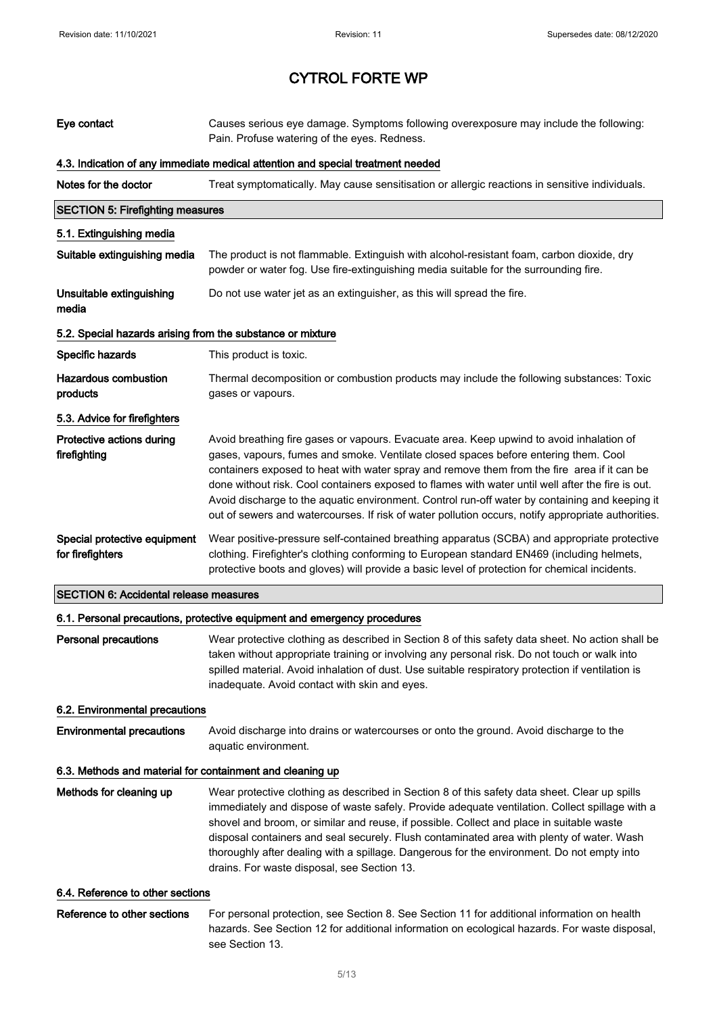| Eye contact                                                | Causes serious eye damage. Symptoms following overexposure may include the following:<br>Pain. Profuse watering of the eyes. Redness.                                                                                                                                                                                                                                                                                                                                                                                                                                                       |  |  |  |
|------------------------------------------------------------|---------------------------------------------------------------------------------------------------------------------------------------------------------------------------------------------------------------------------------------------------------------------------------------------------------------------------------------------------------------------------------------------------------------------------------------------------------------------------------------------------------------------------------------------------------------------------------------------|--|--|--|
|                                                            | 4.3. Indication of any immediate medical attention and special treatment needed                                                                                                                                                                                                                                                                                                                                                                                                                                                                                                             |  |  |  |
| Notes for the doctor                                       | Treat symptomatically. May cause sensitisation or allergic reactions in sensitive individuals.                                                                                                                                                                                                                                                                                                                                                                                                                                                                                              |  |  |  |
| <b>SECTION 5: Firefighting measures</b>                    |                                                                                                                                                                                                                                                                                                                                                                                                                                                                                                                                                                                             |  |  |  |
| 5.1. Extinguishing media                                   |                                                                                                                                                                                                                                                                                                                                                                                                                                                                                                                                                                                             |  |  |  |
| Suitable extinguishing media                               | The product is not flammable. Extinguish with alcohol-resistant foam, carbon dioxide, dry<br>powder or water fog. Use fire-extinguishing media suitable for the surrounding fire.                                                                                                                                                                                                                                                                                                                                                                                                           |  |  |  |
| Unsuitable extinguishing<br>media                          | Do not use water jet as an extinguisher, as this will spread the fire.                                                                                                                                                                                                                                                                                                                                                                                                                                                                                                                      |  |  |  |
| 5.2. Special hazards arising from the substance or mixture |                                                                                                                                                                                                                                                                                                                                                                                                                                                                                                                                                                                             |  |  |  |
| Specific hazards                                           | This product is toxic.                                                                                                                                                                                                                                                                                                                                                                                                                                                                                                                                                                      |  |  |  |
| <b>Hazardous combustion</b><br>products                    | Thermal decomposition or combustion products may include the following substances: Toxic<br>gases or vapours.                                                                                                                                                                                                                                                                                                                                                                                                                                                                               |  |  |  |
| 5.3. Advice for firefighters                               |                                                                                                                                                                                                                                                                                                                                                                                                                                                                                                                                                                                             |  |  |  |
| Protective actions during<br>firefighting                  | Avoid breathing fire gases or vapours. Evacuate area. Keep upwind to avoid inhalation of<br>gases, vapours, fumes and smoke. Ventilate closed spaces before entering them. Cool<br>containers exposed to heat with water spray and remove them from the fire area if it can be<br>done without risk. Cool containers exposed to flames with water until well after the fire is out.<br>Avoid discharge to the aquatic environment. Control run-off water by containing and keeping it<br>out of sewers and watercourses. If risk of water pollution occurs, notify appropriate authorities. |  |  |  |
| Special protective equipment<br>for firefighters           | Wear positive-pressure self-contained breathing apparatus (SCBA) and appropriate protective<br>clothing. Firefighter's clothing conforming to European standard EN469 (including helmets,<br>protective boots and gloves) will provide a basic level of protection for chemical incidents.                                                                                                                                                                                                                                                                                                  |  |  |  |
| <b>SECTION 6: Accidental release measures</b>              |                                                                                                                                                                                                                                                                                                                                                                                                                                                                                                                                                                                             |  |  |  |
|                                                            | 6.1. Personal precautions, protective equipment and emergency procedures                                                                                                                                                                                                                                                                                                                                                                                                                                                                                                                    |  |  |  |
| <b>Personal precautions</b>                                | Wear protective clothing as described in Section 8 of this safety data sheet. No action shall be<br>taken without appropriate training or involving any personal risk. Do not touch or walk into<br>spilled material. Avoid inhalation of dust. Use suitable respiratory protection if ventilation is<br>inadequate. Avoid contact with skin and eyes.                                                                                                                                                                                                                                      |  |  |  |
| 6.2. Environmental precautions                             |                                                                                                                                                                                                                                                                                                                                                                                                                                                                                                                                                                                             |  |  |  |
| <b>Environmental precautions</b>                           | Avoid discharge into drains or watercourses or onto the ground. Avoid discharge to the<br>aquatic environment.                                                                                                                                                                                                                                                                                                                                                                                                                                                                              |  |  |  |
| 6.3. Methods and material for containment and cleaning up  |                                                                                                                                                                                                                                                                                                                                                                                                                                                                                                                                                                                             |  |  |  |
| Methods for cleaning up                                    | Wear protective clothing as described in Section 8 of this safety data sheet. Clear up spills<br>immediately and dispose of waste safely. Provide adequate ventilation. Collect spillage with a<br>shovel and broom, or similar and reuse, if possible. Collect and place in suitable waste<br>disposal containers and seal securely. Flush contaminated area with plenty of water. Wash<br>thoroughly after dealing with a spillage. Dangerous for the environment. Do not empty into<br>drains. For waste disposal, see Section 13.                                                       |  |  |  |
| 6.4. Reference to other sections                           |                                                                                                                                                                                                                                                                                                                                                                                                                                                                                                                                                                                             |  |  |  |
| Reference to other sections                                | For personal protection, see Section 8. See Section 11 for additional information on health<br>hazards. See Section 12 for additional information on ecological hazards. For waste disposal,<br>see Section 13.                                                                                                                                                                                                                                                                                                                                                                             |  |  |  |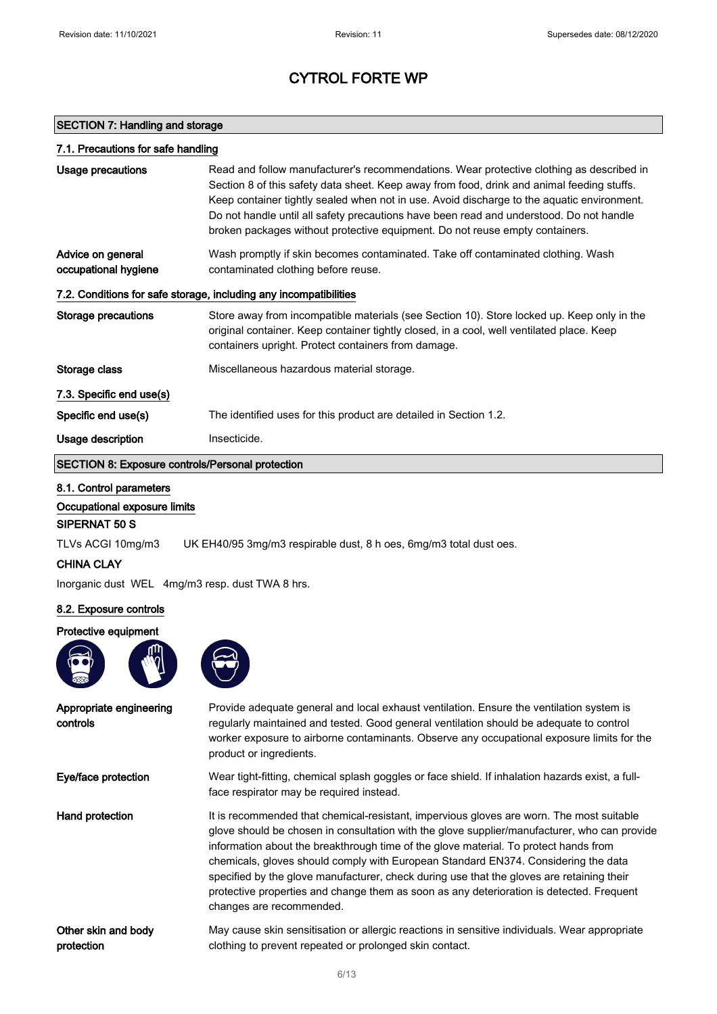#### SECTION 7: Handling and storage

| 7.1. Precautions for safe handling                                |                                                                                                                                                                                                                                                                                                                                                                                                                                                                 |  |
|-------------------------------------------------------------------|-----------------------------------------------------------------------------------------------------------------------------------------------------------------------------------------------------------------------------------------------------------------------------------------------------------------------------------------------------------------------------------------------------------------------------------------------------------------|--|
| Usage precautions                                                 | Read and follow manufacturer's recommendations. Wear protective clothing as described in<br>Section 8 of this safety data sheet. Keep away from food, drink and animal feeding stuffs.<br>Keep container tightly sealed when not in use. Avoid discharge to the aquatic environment.<br>Do not handle until all safety precautions have been read and understood. Do not handle<br>broken packages without protective equipment. Do not reuse empty containers. |  |
| Advice on general<br>occupational hygiene                         | Wash promptly if skin becomes contaminated. Take off contaminated clothing. Wash<br>contaminated clothing before reuse.                                                                                                                                                                                                                                                                                                                                         |  |
| 7.2. Conditions for safe storage, including any incompatibilities |                                                                                                                                                                                                                                                                                                                                                                                                                                                                 |  |
| Storage precautions                                               | Store away from incompatible materials (see Section 10). Store locked up. Keep only in the<br>original container. Keep container tightly closed, in a cool, well ventilated place. Keep<br>containers upright. Protect containers from damage.                                                                                                                                                                                                                  |  |
| Storage class                                                     | Miscellaneous hazardous material storage.                                                                                                                                                                                                                                                                                                                                                                                                                       |  |
| 7.3. Specific end use(s)                                          |                                                                                                                                                                                                                                                                                                                                                                                                                                                                 |  |
| Specific end use(s)                                               | The identified uses for this product are detailed in Section 1.2.                                                                                                                                                                                                                                                                                                                                                                                               |  |
| Usage description                                                 | Insecticide.                                                                                                                                                                                                                                                                                                                                                                                                                                                    |  |
| <b>SECTION 8: Exposure controls/Personal protection</b>           |                                                                                                                                                                                                                                                                                                                                                                                                                                                                 |  |

#### 8.1. Control parameters

Occupational exposure limits

#### SIPERNAT 50 S

TLVs ACGI 10mg/m3 UK EH40/95 3mg/m3 respirable dust, 8 h oes, 6mg/m3 total dust oes.

#### CHINA CLAY

Inorganic dust WEL 4mg/m3 resp. dust TWA 8 hrs.

#### 8.2. Exposure controls

#### Protective equipment





Appropriate engineering controls Provide adequate general and local exhaust ventilation. Ensure the ventilation system is regularly maintained and tested. Good general ventilation should be adequate to control worker exposure to airborne contaminants. Observe any occupational exposure limits for the product or ingredients. Eye/face protection Wear tight-fitting, chemical splash goggles or face shield. If inhalation hazards exist, a fullface respirator may be required instead. Hand protection It is recommended that chemical-resistant, impervious gloves are worn. The most suitable glove should be chosen in consultation with the glove supplier/manufacturer, who can provide information about the breakthrough time of the glove material. To protect hands from chemicals, gloves should comply with European Standard EN374. Considering the data specified by the glove manufacturer, check during use that the gloves are retaining their protective properties and change them as soon as any deterioration is detected. Frequent changes are recommended. Other skin and body protection May cause skin sensitisation or allergic reactions in sensitive individuals. Wear appropriate clothing to prevent repeated or prolonged skin contact.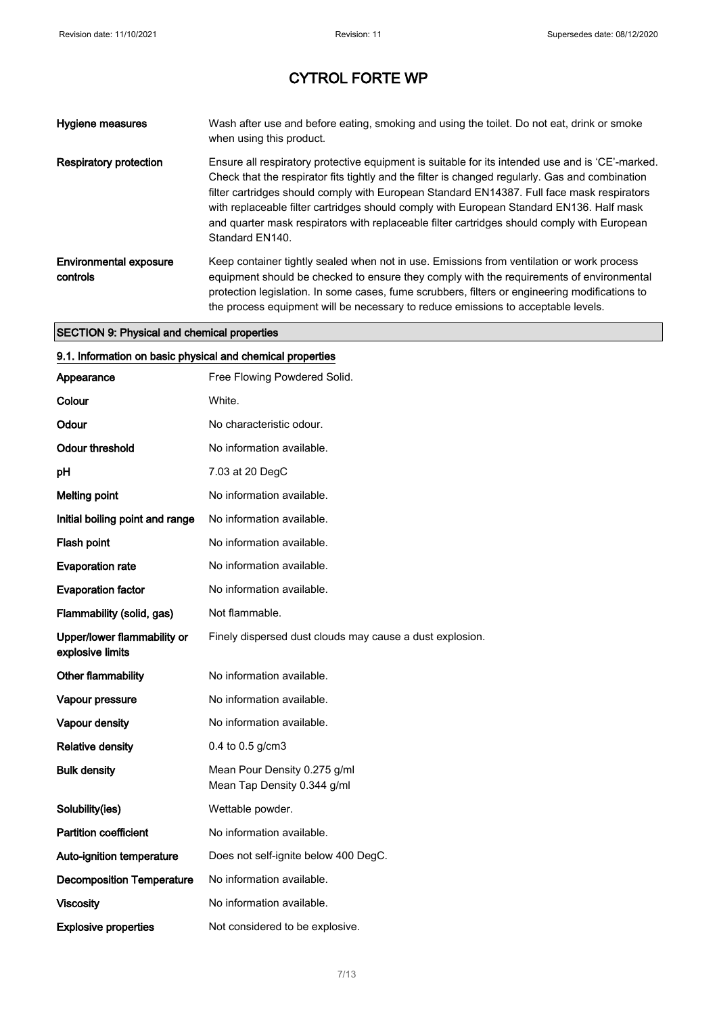| Hygiene measures                          | Wash after use and before eating, smoking and using the toilet. Do not eat, drink or smoke<br>when using this product.                                                                                                                                                                                                                                                                                                                                                                                          |
|-------------------------------------------|-----------------------------------------------------------------------------------------------------------------------------------------------------------------------------------------------------------------------------------------------------------------------------------------------------------------------------------------------------------------------------------------------------------------------------------------------------------------------------------------------------------------|
| <b>Respiratory protection</b>             | Ensure all respiratory protective equipment is suitable for its intended use and is 'CE'-marked.<br>Check that the respirator fits tightly and the filter is changed regularly. Gas and combination<br>filter cartridges should comply with European Standard EN14387. Full face mask respirators<br>with replaceable filter cartridges should comply with European Standard EN136. Half mask<br>and quarter mask respirators with replaceable filter cartridges should comply with European<br>Standard EN140. |
| <b>Environmental exposure</b><br>controls | Keep container tightly sealed when not in use. Emissions from ventilation or work process<br>equipment should be checked to ensure they comply with the requirements of environmental<br>protection legislation. In some cases, fume scrubbers, filters or engineering modifications to<br>the process equipment will be necessary to reduce emissions to acceptable levels.                                                                                                                                    |

## SECTION 9: Physical and chemical properties

| 9.1. Information on basic physical and chemical properties |                                                             |  |
|------------------------------------------------------------|-------------------------------------------------------------|--|
| Appearance                                                 | Free Flowing Powdered Solid.                                |  |
| Colour                                                     | White.                                                      |  |
| Odour                                                      | No characteristic odour.                                    |  |
| Odour threshold                                            | No information available.                                   |  |
| рH                                                         | 7.03 at 20 DegC                                             |  |
| <b>Melting point</b>                                       | No information available.                                   |  |
| Initial boiling point and range                            | No information available.                                   |  |
| Flash point                                                | No information available.                                   |  |
| <b>Evaporation rate</b>                                    | No information available.                                   |  |
| <b>Evaporation factor</b>                                  | No information available.                                   |  |
| Flammability (solid, gas)                                  | Not flammable.                                              |  |
| Upper/lower flammability or<br>explosive limits            | Finely dispersed dust clouds may cause a dust explosion.    |  |
| Other flammability                                         | No information available.                                   |  |
| Vapour pressure                                            | No information available.                                   |  |
| Vapour density                                             | No information available.                                   |  |
| <b>Relative density</b>                                    | 0.4 to 0.5 $g/cm3$                                          |  |
| <b>Bulk density</b>                                        | Mean Pour Density 0.275 g/ml<br>Mean Tap Density 0.344 g/ml |  |
| Solubility(ies)                                            | Wettable powder.                                            |  |
| <b>Partition coefficient</b>                               | No information available.                                   |  |
| Auto-ignition temperature                                  | Does not self-ignite below 400 DegC.                        |  |
| <b>Decomposition Temperature</b>                           | No information available.                                   |  |
| <b>Viscosity</b>                                           | No information available.                                   |  |
| <b>Explosive properties</b>                                | Not considered to be explosive.                             |  |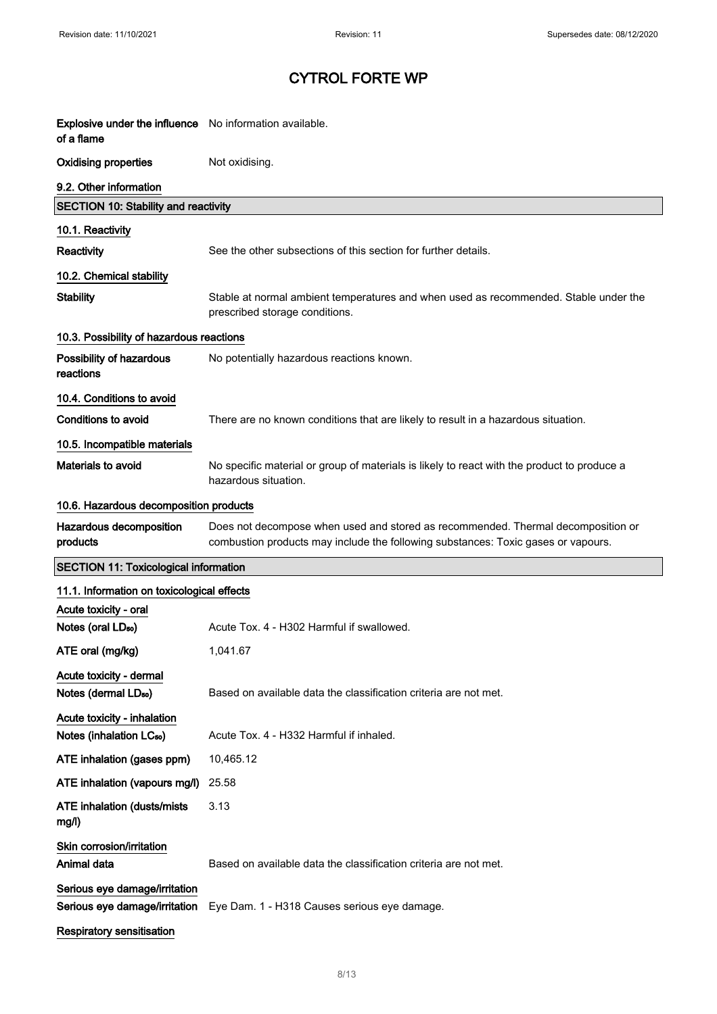| <b>Explosive under the influence</b> No information available.<br>of a flame |                                                                                                                                                                       |
|------------------------------------------------------------------------------|-----------------------------------------------------------------------------------------------------------------------------------------------------------------------|
| <b>Oxidising properties</b>                                                  | Not oxidising.                                                                                                                                                        |
| 9.2. Other information                                                       |                                                                                                                                                                       |
| <b>SECTION 10: Stability and reactivity</b>                                  |                                                                                                                                                                       |
| 10.1. Reactivity                                                             |                                                                                                                                                                       |
| <b>Reactivity</b>                                                            | See the other subsections of this section for further details.                                                                                                        |
| 10.2. Chemical stability                                                     |                                                                                                                                                                       |
| <b>Stability</b>                                                             | Stable at normal ambient temperatures and when used as recommended. Stable under the<br>prescribed storage conditions.                                                |
| 10.3. Possibility of hazardous reactions                                     |                                                                                                                                                                       |
| Possibility of hazardous<br>reactions                                        | No potentially hazardous reactions known.                                                                                                                             |
| 10.4. Conditions to avoid                                                    |                                                                                                                                                                       |
| <b>Conditions to avoid</b>                                                   | There are no known conditions that are likely to result in a hazardous situation.                                                                                     |
| 10.5. Incompatible materials                                                 |                                                                                                                                                                       |
| <b>Materials to avoid</b>                                                    | No specific material or group of materials is likely to react with the product to produce a<br>hazardous situation.                                                   |
| 10.6. Hazardous decomposition products                                       |                                                                                                                                                                       |
| Hazardous decomposition<br>products                                          | Does not decompose when used and stored as recommended. Thermal decomposition or<br>combustion products may include the following substances: Toxic gases or vapours. |
| <b>SECTION 11: Toxicological information</b>                                 |                                                                                                                                                                       |
| 11.1. Information on toxicological effects                                   |                                                                                                                                                                       |
| Acute toxicity - oral                                                        |                                                                                                                                                                       |
| Notes (oral LD <sub>50</sub> )                                               | Acute Tox. 4 - H302 Harmful if swallowed.                                                                                                                             |
| ATE oral (mg/kg)                                                             | 1,041.67                                                                                                                                                              |
| Acute toxicity - dermal<br>Notes (dermal LD <sub>50</sub> )                  | Based on available data the classification criteria are not met.                                                                                                      |
| Acute toxicity - inhalation<br>Notes (inhalation LC <sub>50</sub> )          | Acute Tox. 4 - H332 Harmful if inhaled.                                                                                                                               |
| ATE inhalation (gases ppm)                                                   | 10,465.12                                                                                                                                                             |
| ATE inhalation (vapours mg/l)                                                | 25.58                                                                                                                                                                 |
| <b>ATE inhalation (dusts/mists</b><br>mg/l)                                  | 3.13                                                                                                                                                                  |
| Skin corrosion/irritation                                                    |                                                                                                                                                                       |
| Animal data                                                                  | Based on available data the classification criteria are not met.                                                                                                      |
| Serious eye damage/irritation<br>Serious eye damage/irritation               | Eye Dam. 1 - H318 Causes serious eye damage.                                                                                                                          |
| Respiratory sensitisation                                                    |                                                                                                                                                                       |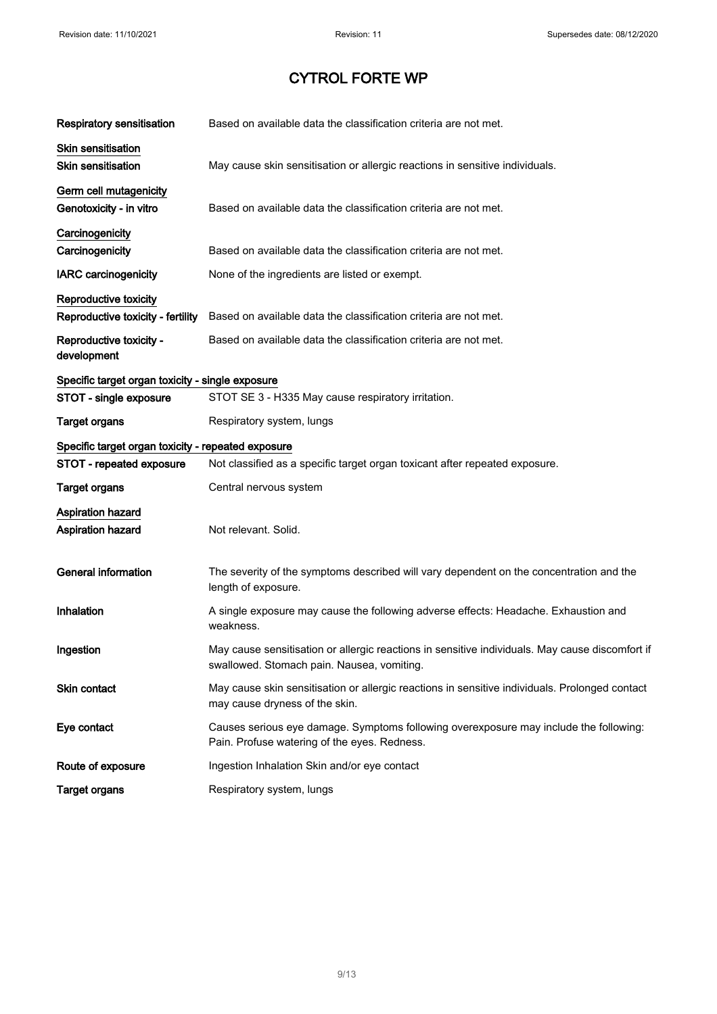| <b>Respiratory sensitisation</b>                   | Based on available data the classification criteria are not met.                                                                              |
|----------------------------------------------------|-----------------------------------------------------------------------------------------------------------------------------------------------|
| <b>Skin sensitisation</b>                          |                                                                                                                                               |
| <b>Skin sensitisation</b>                          | May cause skin sensitisation or allergic reactions in sensitive individuals.                                                                  |
| Germ cell mutagenicity                             |                                                                                                                                               |
| Genotoxicity - in vitro                            | Based on available data the classification criteria are not met.                                                                              |
| Carcinogenicity                                    |                                                                                                                                               |
| Carcinogenicity                                    | Based on available data the classification criteria are not met.                                                                              |
| <b>IARC</b> carcinogenicity                        | None of the ingredients are listed or exempt.                                                                                                 |
| Reproductive toxicity                              |                                                                                                                                               |
| Reproductive toxicity - fertility                  | Based on available data the classification criteria are not met.                                                                              |
| Reproductive toxicity -<br>development             | Based on available data the classification criteria are not met.                                                                              |
| Specific target organ toxicity - single exposure   |                                                                                                                                               |
| STOT - single exposure                             | STOT SE 3 - H335 May cause respiratory irritation.                                                                                            |
| <b>Target organs</b>                               | Respiratory system, lungs                                                                                                                     |
| Specific target organ toxicity - repeated exposure |                                                                                                                                               |
| STOT - repeated exposure                           | Not classified as a specific target organ toxicant after repeated exposure.                                                                   |
| <b>Target organs</b>                               | Central nervous system                                                                                                                        |
|                                                    |                                                                                                                                               |
| <b>Aspiration hazard</b>                           |                                                                                                                                               |
| Aspiration hazard                                  | Not relevant. Solid.                                                                                                                          |
| <b>General information</b>                         | The severity of the symptoms described will vary dependent on the concentration and the<br>length of exposure.                                |
| Inhalation                                         | A single exposure may cause the following adverse effects: Headache. Exhaustion and<br>weakness.                                              |
| Ingestion                                          | May cause sensitisation or allergic reactions in sensitive individuals. May cause discomfort if<br>swallowed. Stomach pain. Nausea, vomiting. |
| Skin contact                                       | May cause skin sensitisation or allergic reactions in sensitive individuals. Prolonged contact<br>may cause dryness of the skin.              |
| Eye contact                                        | Causes serious eye damage. Symptoms following overexposure may include the following:<br>Pain. Profuse watering of the eyes. Redness.         |
| Route of exposure                                  | Ingestion Inhalation Skin and/or eye contact                                                                                                  |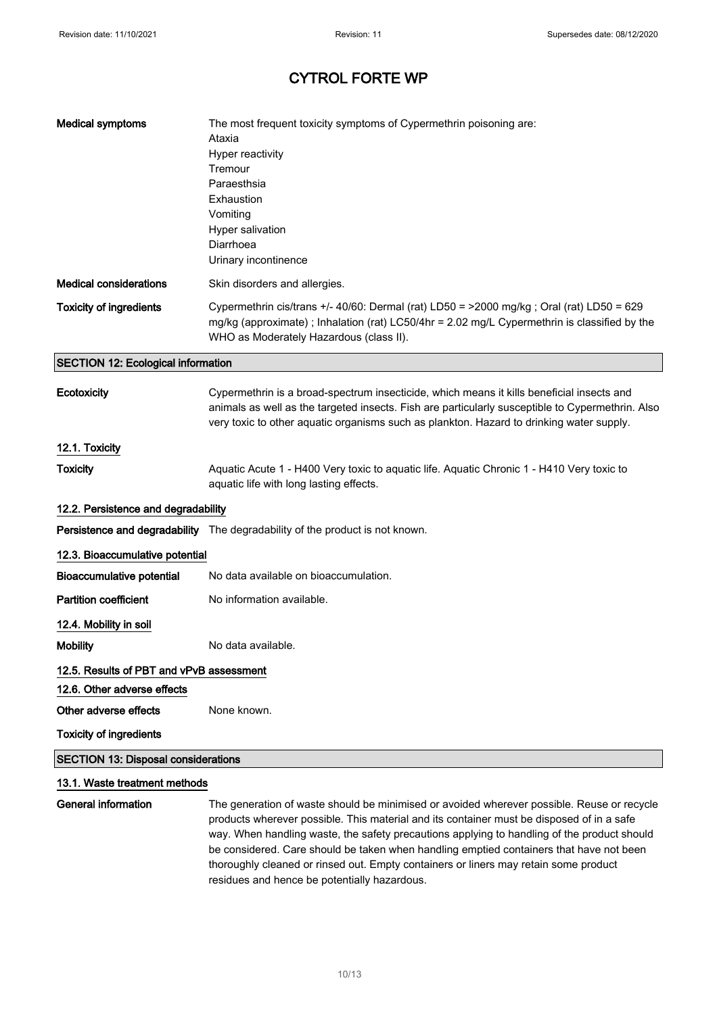| <b>Medical symptoms</b>                    | The most frequent toxicity symptoms of Cypermethrin poisoning are:<br>Ataxia<br>Hyper reactivity<br>Tremour<br>Paraesthsia<br>Exhaustion<br>Vomiting<br>Hyper salivation<br>Diarrhoea                                                                                                     |
|--------------------------------------------|-------------------------------------------------------------------------------------------------------------------------------------------------------------------------------------------------------------------------------------------------------------------------------------------|
|                                            | Urinary incontinence                                                                                                                                                                                                                                                                      |
| <b>Medical considerations</b>              | Skin disorders and allergies.                                                                                                                                                                                                                                                             |
| <b>Toxicity of ingredients</b>             | Cypermethrin cis/trans +/- 40/60: Dermal (rat) LD50 = >2000 mg/kg ; Oral (rat) LD50 = 629<br>mg/kg (approximate); Inhalation (rat) LC50/4hr = 2.02 mg/L Cypermethrin is classified by the<br>WHO as Moderately Hazardous (class II).                                                      |
| <b>SECTION 12: Ecological information</b>  |                                                                                                                                                                                                                                                                                           |
| Ecotoxicity                                | Cypermethrin is a broad-spectrum insecticide, which means it kills beneficial insects and<br>animals as well as the targeted insects. Fish are particularly susceptible to Cypermethrin. Also<br>very toxic to other aquatic organisms such as plankton. Hazard to drinking water supply. |
| 12.1. Toxicity                             |                                                                                                                                                                                                                                                                                           |
| <b>Toxicity</b>                            | Aquatic Acute 1 - H400 Very toxic to aquatic life. Aquatic Chronic 1 - H410 Very toxic to<br>aquatic life with long lasting effects.                                                                                                                                                      |
| 12.2. Persistence and degradability        |                                                                                                                                                                                                                                                                                           |
|                                            | Persistence and degradability The degradability of the product is not known.                                                                                                                                                                                                              |
| 12.3. Bioaccumulative potential            |                                                                                                                                                                                                                                                                                           |
| <b>Bioaccumulative potential</b>           | No data available on bioaccumulation.                                                                                                                                                                                                                                                     |
| <b>Partition coefficient</b>               | No information available.                                                                                                                                                                                                                                                                 |
| 12.4. Mobility in soil                     |                                                                                                                                                                                                                                                                                           |
| <b>Mobility</b>                            | No data available.                                                                                                                                                                                                                                                                        |
| 12.5. Results of PBT and vPvB assessment   |                                                                                                                                                                                                                                                                                           |
| 12.6. Other adverse effects                |                                                                                                                                                                                                                                                                                           |
| Other adverse effects                      | None known.                                                                                                                                                                                                                                                                               |
| <b>Toxicity of ingredients</b>             |                                                                                                                                                                                                                                                                                           |
| <b>SECTION 13: Disposal considerations</b> |                                                                                                                                                                                                                                                                                           |
| 13.1. Waste treatment methods              |                                                                                                                                                                                                                                                                                           |
| General information                        | The generation of waste should be minimised or avoided wherever possible. Reuse or recycle                                                                                                                                                                                                |

**General information** The generation of waste should be minimised or avoided wherever possible. Reuse or recycle products wherever possible. This material and its container must be disposed of in a safe way. When handling waste, the safety precautions applying to handling of the product should be considered. Care should be taken when handling emptied containers that have not been thoroughly cleaned or rinsed out. Empty containers or liners may retain some product residues and hence be potentially hazardous.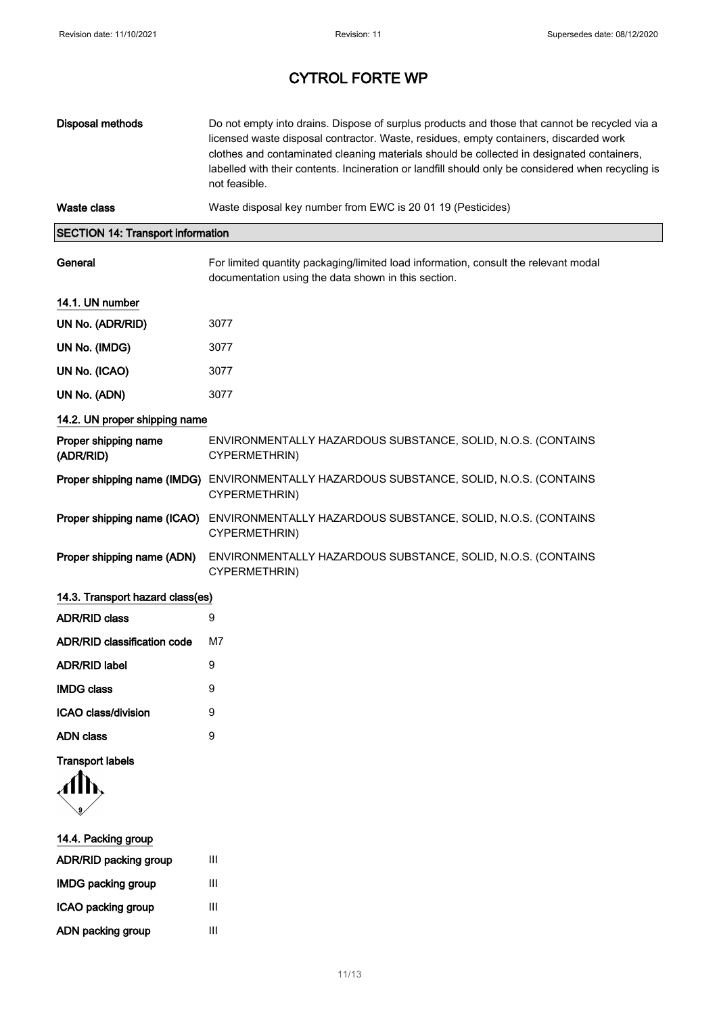| Disposal methods                         | Do not empty into drains. Dispose of surplus products and those that cannot be recycled via a<br>licensed waste disposal contractor. Waste, residues, empty containers, discarded work<br>clothes and contaminated cleaning materials should be collected in designated containers,<br>labelled with their contents. Incineration or landfill should only be considered when recycling is<br>not feasible. |
|------------------------------------------|------------------------------------------------------------------------------------------------------------------------------------------------------------------------------------------------------------------------------------------------------------------------------------------------------------------------------------------------------------------------------------------------------------|
| Waste class                              | Waste disposal key number from EWC is 20 01 19 (Pesticides)                                                                                                                                                                                                                                                                                                                                                |
| <b>SECTION 14: Transport information</b> |                                                                                                                                                                                                                                                                                                                                                                                                            |
| General                                  | For limited quantity packaging/limited load information, consult the relevant modal<br>documentation using the data shown in this section.                                                                                                                                                                                                                                                                 |
| 14.1. UN number                          |                                                                                                                                                                                                                                                                                                                                                                                                            |
| UN No. (ADR/RID)                         | 3077                                                                                                                                                                                                                                                                                                                                                                                                       |
| UN No. (IMDG)                            | 3077                                                                                                                                                                                                                                                                                                                                                                                                       |
| UN No. (ICAO)                            | 3077                                                                                                                                                                                                                                                                                                                                                                                                       |
| UN No. (ADN)                             | 3077                                                                                                                                                                                                                                                                                                                                                                                                       |
| 14.2. UN proper shipping name            |                                                                                                                                                                                                                                                                                                                                                                                                            |
| Proper shipping name<br>(ADR/RID)        | ENVIRONMENTALLY HAZARDOUS SUBSTANCE, SOLID, N.O.S. (CONTAINS<br>CYPERMETHRIN)                                                                                                                                                                                                                                                                                                                              |
|                                          | Proper shipping name (IMDG) ENVIRONMENTALLY HAZARDOUS SUBSTANCE, SOLID, N.O.S. (CONTAINS<br>CYPERMETHRIN)                                                                                                                                                                                                                                                                                                  |
| Proper shipping name (ICAO)              | ENVIRONMENTALLY HAZARDOUS SUBSTANCE, SOLID, N.O.S. (CONTAINS<br>CYPERMETHRIN)                                                                                                                                                                                                                                                                                                                              |
| Proper shipping name (ADN)               | ENVIRONMENTALLY HAZARDOUS SUBSTANCE, SOLID, N.O.S. (CONTAINS<br>CYPERMETHRIN)                                                                                                                                                                                                                                                                                                                              |
| 14.3. Transport hazard class(es)         |                                                                                                                                                                                                                                                                                                                                                                                                            |
| <b>ADR/RID class</b>                     | 9                                                                                                                                                                                                                                                                                                                                                                                                          |
| <b>ADR/RID classification code</b>       | M7                                                                                                                                                                                                                                                                                                                                                                                                         |
| <b>ADR/RID label</b>                     | 9                                                                                                                                                                                                                                                                                                                                                                                                          |
| <b>IMDG class</b>                        | 9                                                                                                                                                                                                                                                                                                                                                                                                          |
| <b>ICAO class/division</b>               | 9                                                                                                                                                                                                                                                                                                                                                                                                          |
| <b>ADN class</b>                         | 9                                                                                                                                                                                                                                                                                                                                                                                                          |

## Transport labels

g

| 14.4. Packing group       |   |
|---------------------------|---|
| ADR/RID packing group     | Ш |
| <b>IMDG packing group</b> | Ш |
| ICAO packing group        | Ш |
| ADN packing group         | Ш |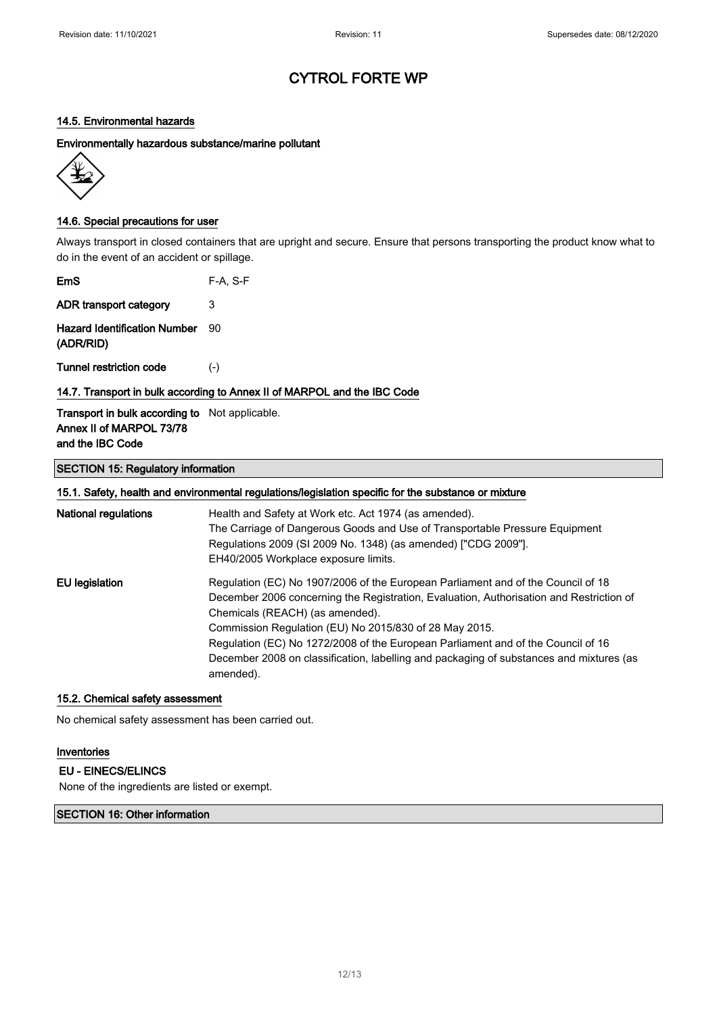### 14.5. Environmental hazards

Environmentally hazardous substance/marine pollutant



### 14.6. Special precautions for user

Always transport in closed containers that are upright and secure. Ensure that persons transporting the product know what to do in the event of an accident or spillage.

| <b>EmS</b>                                            | $F-A. S-F$                                                               |
|-------------------------------------------------------|--------------------------------------------------------------------------|
| ADR transport category                                | 3                                                                        |
| <b>Hazard Identification Number</b><br>(ADR/RID)      | 90                                                                       |
| Tunnel restriction code                               | $(-)$                                                                    |
|                                                       | 14.7. Transport in bulk according to Annex II of MARPOL and the IBC Code |
| <b>Transport in bulk according to</b> Not applicable. |                                                                          |

# and the IBC Code

Annex II of MARPOL 73/78

## SECTION 15: Regulatory information

| 15.1. Safety, health and environmental regulations/legislation specific for the substance or mixture |
|------------------------------------------------------------------------------------------------------|
|------------------------------------------------------------------------------------------------------|

| <b>National regulations</b> | Health and Safety at Work etc. Act 1974 (as amended).<br>The Carriage of Dangerous Goods and Use of Transportable Pressure Equipment<br>Regulations 2009 (SI 2009 No. 1348) (as amended) ["CDG 2009"].<br>EH40/2005 Workplace exposure limits. |
|-----------------------------|------------------------------------------------------------------------------------------------------------------------------------------------------------------------------------------------------------------------------------------------|
| EU legislation              | Regulation (EC) No 1907/2006 of the European Parliament and of the Council of 18<br>December 2006 concerning the Registration, Evaluation, Authorisation and Restriction of<br>Chemicals (REACH) (as amended).                                 |
|                             | Commission Regulation (EU) No 2015/830 of 28 May 2015.                                                                                                                                                                                         |
|                             | Regulation (EC) No 1272/2008 of the European Parliament and of the Council of 16                                                                                                                                                               |
|                             | December 2008 on classification, labelling and packaging of substances and mixtures (as<br>amended).                                                                                                                                           |

#### 15.2. Chemical safety assessment

No chemical safety assessment has been carried out.

#### Inventories

EU - EINECS/ELINCS

None of the ingredients are listed or exempt.

### SECTION 16: Other information